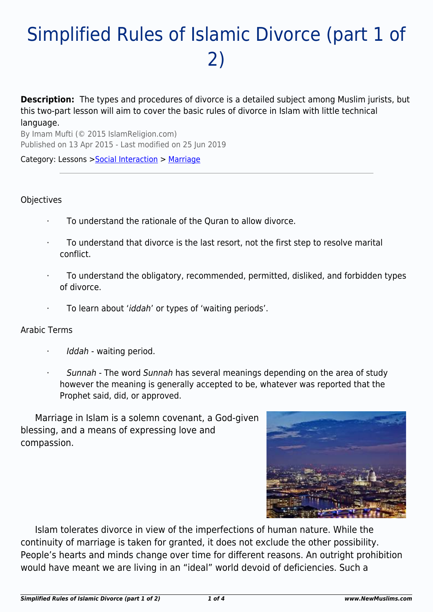# Simplified Rules of Islamic Divorce (part 1 of 2)

**Description:** The types and procedures of divorce is a detailed subject among Muslim jurists, but this two-part lesson will aim to cover the basic rules of divorce in Islam with little technical language.

By Imam Mufti (© 2015 IslamReligion.com) Published on 13 Apr 2015 - Last modified on 25 Jun 2019

Category: Lessons >[Social Interaction](http://www.newmuslims.com/category/136/) > [Marriage](http://www.newmuslims.com/category/166/)

#### **Objectives**

- · To understand the rationale of the Quran to allow divorce.
- To understand that divorce is the last resort, not the first step to resolve marital conflict.
- · To understand the obligatory, recommended, permitted, disliked, and forbidden types of divorce.
- To learn about 'iddah' or types of 'waiting periods'.

#### Arabic Terms

- Iddah waiting period.
- Sunnah The word Sunnah has several meanings depending on the area of study however the meaning is generally accepted to be, whatever was reported that the Prophet said, did, or approved.

Marriage in Islam is a solemn covenant, a God-given blessing, and a means of expressing love and compassion.



Islam tolerates divorce in view of the imperfections of human nature. While the continuity of marriage is taken for granted, it does not exclude the other possibility. People's hearts and minds change over time for different reasons. An outright prohibition would have meant we are living in an "ideal" world devoid of deficiencies. Such a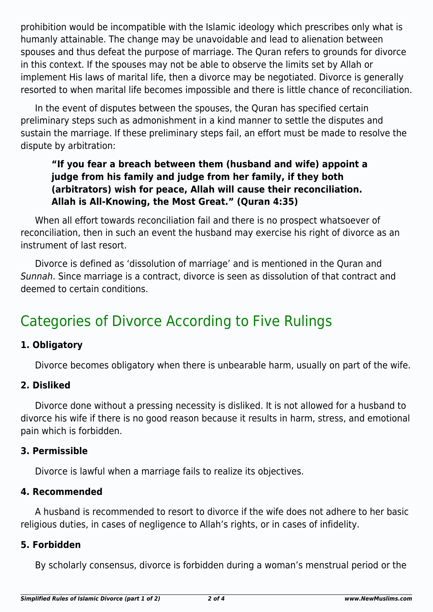prohibition would be incompatible with the Islamic ideology which prescribes only what is humanly attainable. The change may be unavoidable and lead to alienation between spouses and thus defeat the purpose of marriage. The Quran refers to grounds for divorce in this context. If the spouses may not be able to observe the limits set by Allah or implement His laws of marital life, then a divorce may be negotiated. Divorce is generally resorted to when marital life becomes impossible and there is little chance of reconciliation.

In the event of disputes between the spouses, the Quran has specified certain preliminary steps such as admonishment in a kind manner to settle the disputes and sustain the marriage. If these preliminary steps fail, an effort must be made to resolve the dispute by arbitration:

# **"If you fear a breach between them (husband and wife) appoint a judge from his family and judge from her family, if they both (arbitrators) wish for peace, Allah will cause their reconciliation. Allah is All-Knowing, the Most Great." (Quran 4:35)**

When all effort towards reconciliation fail and there is no prospect whatsoever of reconciliation, then in such an event the husband may exercise his right of divorce as an instrument of last resort.

Divorce is defined as 'dissolution of marriage' and is mentioned in the Quran and Sunnah. Since marriage is a contract, divorce is seen as dissolution of that contract and deemed to certain conditions.

# Categories of Divorce According to Five Rulings

## **1. Obligatory**

Divorce becomes obligatory when there is unbearable harm, usually on part of the wife.

#### **2. Disliked**

Divorce done without a pressing necessity is disliked. It is not allowed for a husband to divorce his wife if there is no good reason because it results in harm, stress, and emotional pain which is forbidden.

#### **3. Permissible**

Divorce is lawful when a marriage fails to realize its objectives.

#### **4. Recommended**

A husband is recommended to resort to divorce if the wife does not adhere to her basic religious duties, in cases of negligence to Allah's rights, or in cases of infidelity.

#### **5. Forbidden**

By scholarly consensus, divorce is forbidden during a woman's menstrual period or the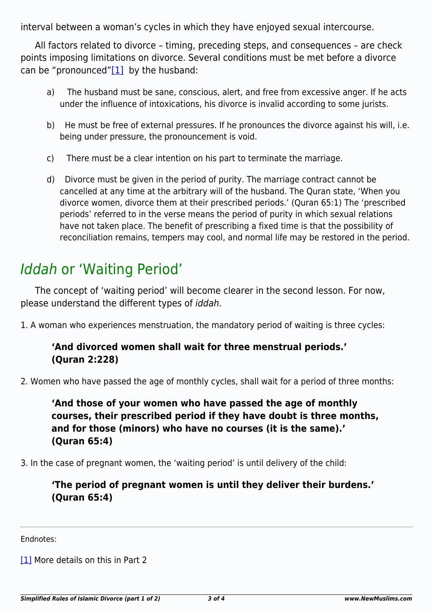interval between a woman's cycles in which they have enjoyed sexual intercourse.

<span id="page-2-1"></span>All factors related to divorce – timing, preceding steps, and consequences – are check points imposing limitations on divorce. Several conditions must be met before a divorce can be "pronounced" $[1]$  by the husband:

- a) The husband must be sane, conscious, alert, and free from excessive anger. If he acts under the influence of intoxications, his divorce is invalid according to some jurists.
- b) He must be free of external pressures. If he pronounces the divorce against his will, i.e. being under pressure, the pronouncement is void.
- c) There must be a clear intention on his part to terminate the marriage.
- d) Divorce must be given in the period of purity. The marriage contract cannot be cancelled at any time at the arbitrary will of the husband. The Quran state, 'When you divorce women, divorce them at their prescribed periods.' (Quran 65:1) The 'prescribed periods' referred to in the verse means the period of purity in which sexual relations have not taken place. The benefit of prescribing a fixed time is that the possibility of reconciliation remains, tempers may cool, and normal life may be restored in the period.

# Iddah or 'Waiting Period'

The concept of 'waiting period' will become clearer in the second lesson. For now, please understand the different types of iddah.

1. A woman who experiences menstruation, the mandatory period of waiting is three cycles:

### **'And divorced women shall wait for three menstrual periods.' (Quran 2:228)**

2. Women who have passed the age of monthly cycles, shall wait for a period of three months:

**'And those of your women who have passed the age of monthly courses, their prescribed period if they have doubt is three months, and for those (minors) who have no courses (it is the same).' (Quran 65:4)**

3. In the case of pregnant women, the 'waiting period' is until delivery of the child:

## **'The period of pregnant women is until they deliver their burdens.' (Quran 65:4)**

<span id="page-2-0"></span>Endnotes:

[\[1\]](#page-2-1) More details on this in Part 2